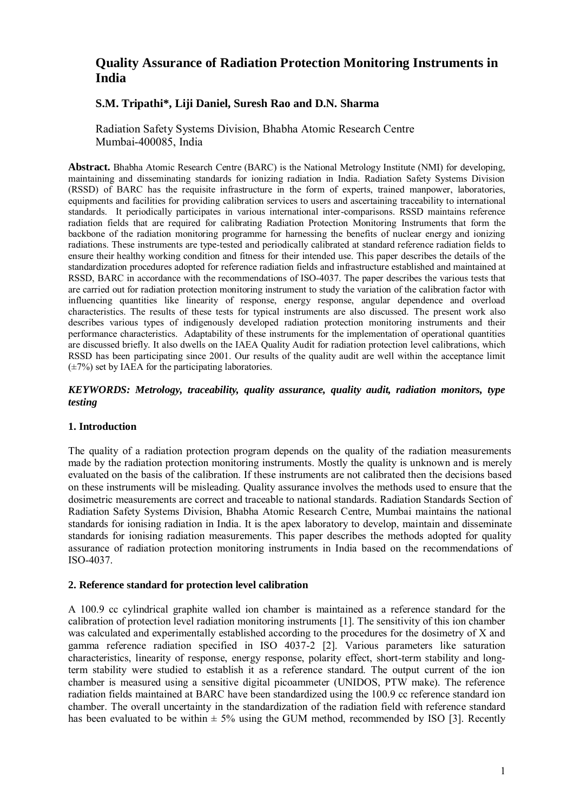# **Quality Assurance of Radiation Protection Monitoring Instruments in India**

# **S.M. Tripathi\*, Liji Daniel, Suresh Rao and D.N. Sharma**

Radiation Safety Systems Division, Bhabha Atomic Research Centre Mumbai-400085, India

**Abstract.** Bhabha Atomic Research Centre (BARC) is the National Metrology Institute (NMI) for developing, maintaining and disseminating standards for ionizing radiation in India. Radiation Safety Systems Division (RSSD) of BARC has the requisite infrastructure in the form of experts, trained manpower, laboratories, equipments and facilities for providing calibration services to users and ascertaining traceability to international standards. It periodically participates in various international inter-comparisons. RSSD maintains reference radiation fields that are required for calibrating Radiation Protection Monitoring Instruments that form the backbone of the radiation monitoring programme for harnessing the benefits of nuclear energy and ionizing radiations. These instruments are type-tested and periodically calibrated at standard reference radiation fields to ensure their healthy working condition and fitness for their intended use. This paper describes the details of the standardization procedures adopted for reference radiation fields and infrastructure established and maintained at RSSD, BARC in accordance with the recommendations of ISO-4037. The paper describes the various tests that are carried out for radiation protection monitoring instrument to study the variation of the calibration factor with influencing quantities like linearity of response, energy response, angular dependence and overload characteristics. The results of these tests for typical instruments are also discussed. The present work also describes various types of indigenously developed radiation protection monitoring instruments and their performance characteristics. Adaptability of these instruments for the implementation of operational quantities are discussed briefly. It also dwells on the IAEA Quality Audit for radiation protection level calibrations, which RSSD has been participating since 2001. Our results of the quality audit are well within the acceptance limit  $(\pm 7\%)$  set by IAEA for the participating laboratories.

### *KEYWORDS: Metrology, traceability, quality assurance, quality audit, radiation monitors, type testing*

### **1. Introduction**

The quality of a radiation protection program depends on the quality of the radiation measurements made by the radiation protection monitoring instruments. Mostly the quality is unknown and is merely evaluated on the basis of the calibration. If these instruments are not calibrated then the decisions based on these instruments will be misleading. Quality assurance involves the methods used to ensure that the dosimetric measurements are correct and traceable to national standards. Radiation Standards Section of Radiation Safety Systems Division, Bhabha Atomic Research Centre, Mumbai maintains the national standards for ionising radiation in India. It is the apex laboratory to develop, maintain and disseminate standards for ionising radiation measurements. This paper describes the methods adopted for quality assurance of radiation protection monitoring instruments in India based on the recommendations of ISO-4037.

### **2. Reference standard for protection level calibration**

A 100.9 cc cylindrical graphite walled ion chamber is maintained as a reference standard for the calibration of protection level radiation monitoring instruments [1]. The sensitivity of this ion chamber was calculated and experimentally established according to the procedures for the dosimetry of X and gamma reference radiation specified in ISO 4037-2 [2]. Various parameters like saturation characteristics, linearity of response, energy response, polarity effect, short-term stability and longterm stability were studied to establish it as a reference standard. The output current of the ion chamber is measured using a sensitive digital picoammeter (UNIDOS, PTW make). The reference radiation fields maintained at BARC have been standardized using the 100.9 cc reference standard ion chamber. The overall uncertainty in the standardization of the radiation field with reference standard has been evaluated to be within  $\pm$  5% using the GUM method, recommended by ISO [3]. Recently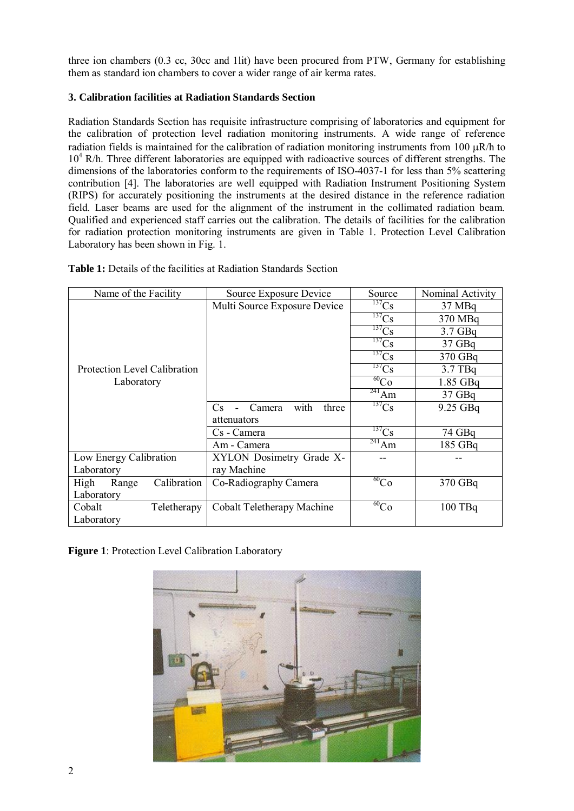three ion chambers (0.3 cc, 30cc and 1lit) have been procured from PTW, Germany for establishing them as standard ion chambers to cover a wider range of air kerma rates.

### **3. Calibration facilities at Radiation Standards Section**

Radiation Standards Section has requisite infrastructure comprising of laboratories and equipment for the calibration of protection level radiation monitoring instruments. A wide range of reference radiation fields is maintained for the calibration of radiation monitoring instruments from 100  $\mu$ R/h to 10<sup>4</sup> R/h. Three different laboratories are equipped with radioactive sources of different strengths. The dimensions of the laboratories conform to the requirements of ISO-4037-1 for less than 5% scattering contribution [4]. The laboratories are well equipped with Radiation Instrument Positioning System (RIPS) for accurately positioning the instruments at the desired distance in the reference radiation field. Laser beams are used for the alignment of the instrument in the collimated radiation beam. Qualified and experienced staff carries out the calibration. The details of facilities for the calibration for radiation protection monitoring instruments are given in Table 1. Protection Level Calibration Laboratory has been shown in Fig. 1.

| Name of the Facility         | Source Exposure Device         | Source                | Nominal Activity |  |
|------------------------------|--------------------------------|-----------------------|------------------|--|
|                              | Multi Source Exposure Device   | $^{137}Cs$            | 37 MBq           |  |
|                              |                                | $^{137}Cs$            | 370 MBq          |  |
|                              |                                | $\overline{^{137}}Cs$ | $3.7$ GBq        |  |
|                              |                                | $^{137}Cs$            | $37$ GBq         |  |
|                              |                                | $^{137}Cs$            | 370 GBq          |  |
| Protection Level Calibration |                                | $^{137}Cs$            | 3.7 TBq          |  |
| Laboratory                   |                                | $^{60}Co$             | 1.85 GBq         |  |
|                              |                                | $^{241}$ Am           | $37$ GBq         |  |
|                              | with<br>Camera<br>three<br>Cs. | $^{137}Cs$            | $9.25$ GBq       |  |
|                              | attenuators                    |                       |                  |  |
|                              | Cs - Camera                    | $^{137}Cs$            | 74 GBq           |  |
|                              | Am - Camera                    | $^{241}$ Am           | 185 GBq          |  |
| Low Energy Calibration       | XYLON Dosimetry Grade X-       |                       |                  |  |
| Laboratory                   | ray Machine                    |                       |                  |  |
| Calibration<br>High<br>Range | Co-Radiography Camera          | $^{60}Co$             | 370 GBq          |  |
| Laboratory                   |                                |                       |                  |  |
| Cobalt<br>Teletherapy        | Cobalt Teletherapy Machine     | $^{60}Co$             | 100 TBq          |  |
| Laboratory                   |                                |                       |                  |  |

Table 1: Details of the facilities at Radiation Standards Section

**Figure 1**: Protection Level Calibration Laboratory

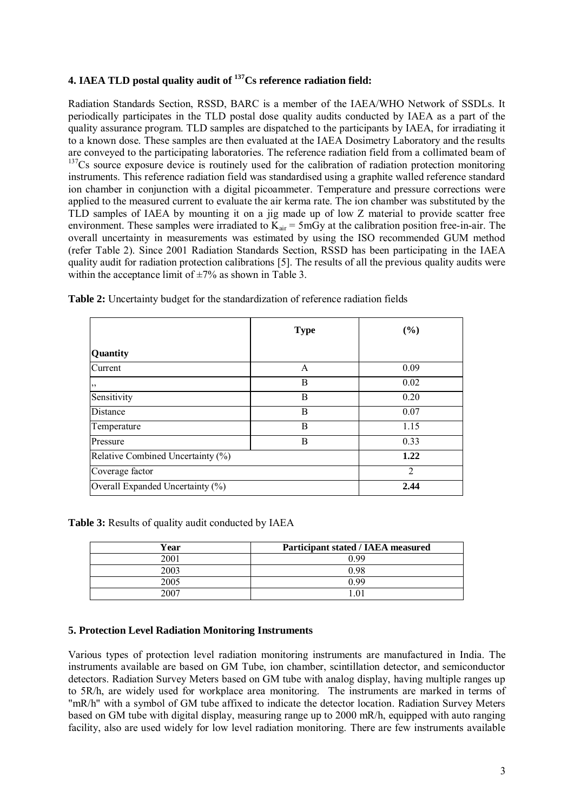# **4. IAEA TLD postal quality audit of <sup>137</sup>Cs reference radiation field:**

Radiation Standards Section, RSSD, BARC is a member of the IAEA/WHO Network of SSDLs. It periodically participates in the TLD postal dose quality audits conducted by IAEA as a part of the quality assurance program. TLD samples are dispatched to the participants by IAEA, for irradiating it to a known dose. These samples are then evaluated at the IAEA Dosimetry Laboratory and the results are conveyed to the participating laboratories. The reference radiation field from a collimated beam of <sup>137</sup>Cs source exposure device is routinely used for the calibration of radiation protection monitoring instruments. This reference radiation field was standardised using a graphite walled reference standard ion chamber in conjunction with a digital picoammeter. Temperature and pressure corrections were applied to the measured current to evaluate the air kerma rate. The ion chamber was substituted by the TLD samples of IAEA by mounting it on a jig made up of low Z material to provide scatter free environment. These samples were irradiated to  $K_{air} = 5 \text{ mGy}$  at the calibration position free-in-air. The overall uncertainty in measurements was estimated by using the ISO recommended GUM method (refer Table 2). Since 2001 Radiation Standards Section, RSSD has been participating in the IAEA quality audit for radiation protection calibrations [5]. The results of all the previous quality audits were within the acceptance limit of  $\pm 7\%$  as shown in Table 3.

|                                   | <b>Type</b>    | (%)  |
|-----------------------------------|----------------|------|
| Quantity                          |                |      |
| Current                           | A              | 0.09 |
| , 2                               | B              | 0.02 |
| Sensitivity                       | B              | 0.20 |
| Distance                          | B              | 0.07 |
| Temperature                       | B              | 1.15 |
| Pressure                          | B              | 0.33 |
| Relative Combined Uncertainty (%) | 1.22           |      |
| Coverage factor                   | $\overline{2}$ |      |
| Overall Expanded Uncertainty (%)  | 2.44           |      |

**Table 2:** Uncertainty budget for the standardization of reference radiation fields

**Table 3:** Results of quality audit conducted by IAEA

| Year | Participant stated / IAEA measured |  |  |  |
|------|------------------------------------|--|--|--|
| 2001 | 0.99                               |  |  |  |
| 2003 | 0.98                               |  |  |  |
| 2005 | 0.99                               |  |  |  |
| 2007 |                                    |  |  |  |

### **5. Protection Level Radiation Monitoring Instruments**

Various types of protection level radiation monitoring instruments are manufactured in India. The instruments available are based on GM Tube, ion chamber, scintillation detector, and semiconductor detectors. Radiation Survey Meters based on GM tube with analog display, having multiple ranges up to 5R/h, are widely used for workplace area monitoring. The instruments are marked in terms of "mR/h" with a symbol of GM tube affixed to indicate the detector location. Radiation Survey Meters based on GM tube with digital display, measuring range up to 2000 mR/h, equipped with auto ranging facility, also are used widely for low level radiation monitoring. There are few instruments available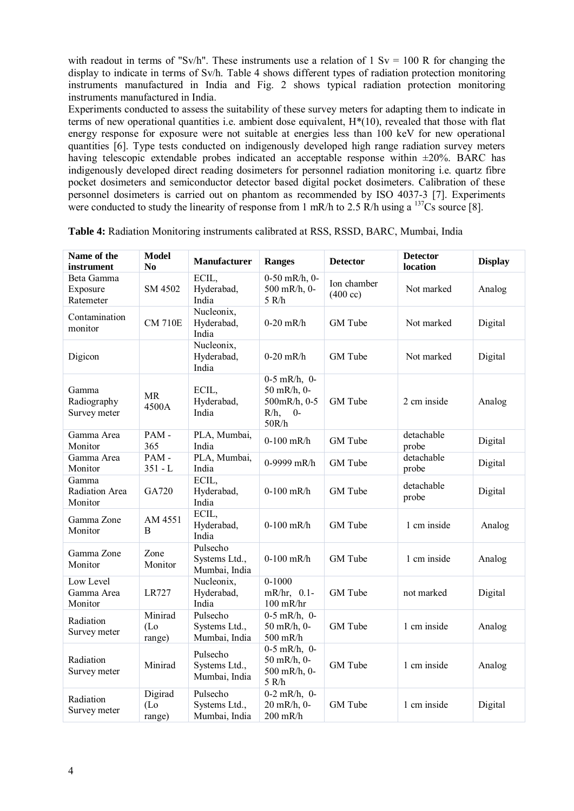with readout in terms of "Sv/h". These instruments use a relation of 1 Sv = 100 R for changing the display to indicate in terms of Sv/h. Table 4 shows different types of radiation protection monitoring instruments manufactured in India and Fig. 2 shows typical radiation protection monitoring instruments manufactured in India.

Experiments conducted to assess the suitability of these survey meters for adapting them to indicate in terms of new operational quantities i.e. ambient dose equivalent, H\*(10), revealed that those with flat energy response for exposure were not suitable at energies less than 100 keV for new operational quantities [6]. Type tests conducted on indigenously developed high range radiation survey meters having telescopic extendable probes indicated an acceptable response within  $\pm 20\%$ . BARC has indigenously developed direct reading dosimeters for personnel radiation monitoring i.e. quartz fibre pocket dosimeters and semiconductor detector based digital pocket dosimeters. Calibration of these personnel dosimeters is carried out on phantom as recommended by ISO 4037-3 [7]. Experiments were conducted to study the linearity of response from 1 mR/h to 2.5 R/h using a  $^{137}Cs$  source [8].

| Name of the<br>instrument                 | <b>Model</b><br>N <sub>0</sub> | <b>Manufacturer</b>                        | <b>Ranges</b>                                                               | <b>Detector</b>                   | <b>Detector</b><br>location | <b>Display</b> |
|-------------------------------------------|--------------------------------|--------------------------------------------|-----------------------------------------------------------------------------|-----------------------------------|-----------------------------|----------------|
| Beta Gamma<br>Exposure<br>Ratemeter       | SM 4502                        | ECIL,<br>Hyderabad,<br>India               | $0-50$ mR/h, $0-$<br>500 mR/h, 0-<br>5 R/h                                  | Ion chamber<br>$(400 \text{ cc})$ | Not marked                  | Analog         |
| Contamination<br>monitor                  | <b>CM 710E</b>                 | Nucleonix,<br>Hyderabad,<br>India          | $0-20$ mR/h                                                                 | GM Tube                           | Not marked                  | Digital        |
| Digicon                                   |                                | Nucleonix,<br>Hyderabad,<br>India          | $0-20$ mR/h                                                                 | GM Tube                           | Not marked                  | Digital        |
| Gamma<br>Radiography<br>Survey meter      | <b>MR</b><br>4500A             | ECIL,<br>Hyderabad,<br>India               | $0-5$ mR/h, $0-$<br>50 mR/h, 0-<br>500mR/h, 0-5<br>$R/h$ ,<br>$0-$<br>50R/h | GM Tube                           | 2 cm inside                 | Analog         |
| Gamma Area<br>Monitor                     | PAM-<br>365                    | PLA, Mumbai,<br>India                      | $0-100$ mR/h                                                                | GM Tube                           | detachable<br>probe         | Digital        |
| Gamma Area<br>Monitor                     | PAM-<br>$351 - L$              | PLA, Mumbai,<br>India                      | 0-9999 mR/h                                                                 | GM Tube                           | detachable<br>probe         | Digital        |
| Gamma<br><b>Radiation Area</b><br>Monitor | GA720                          | ECIL,<br>Hyderabad,<br>India               | $0-100$ mR/h                                                                | GM Tube                           | detachable<br>probe         | Digital        |
| Gamma Zone<br>Monitor                     | AM 4551<br>B                   | ECIL,<br>Hyderabad,<br>India               | $0-100$ mR/h                                                                | GM Tube                           | 1 cm inside                 | Analog         |
| Gamma Zone<br>Monitor                     | Zone<br>Monitor                | Pulsecho<br>Systems Ltd.,<br>Mumbai, India | $0-100$ mR/h                                                                | GM Tube                           | 1 cm inside                 | Analog         |
| Low Level<br>Gamma Area<br>Monitor        | LR727                          | Nucleonix,<br>Hyderabad,<br>India          | $0 - 1000$<br>$mR/hr$ , 0.1-<br>$100$ mR/hr                                 | GM Tube                           | not marked                  | Digital        |
| Radiation<br>Survey meter                 | Minirad<br>$(L_0)$<br>range)   | Pulsecho<br>Systems Ltd.,<br>Mumbai, India | $0-5$ mR/h, 0-<br>50 mR/h, 0-<br>500 mR/h                                   | GM Tube                           | 1 cm inside                 | Analog         |
| Radiation<br>Survey meter                 | Minirad                        | Pulsecho<br>Systems Ltd.,<br>Mumbai, India | $0-5$ mR/h, $0-$<br>50 mR/h, 0-<br>500 mR/h, 0-<br>5 R/h                    | GM Tube                           | 1 cm inside                 | Analog         |
| Radiation<br>Survey meter                 | Digirad<br>$(L_0)$<br>range)   | Pulsecho<br>Systems Ltd.,<br>Mumbai, India | $0-2$ mR/h, $0-$<br>20 mR/h, 0-<br>200 mR/h                                 | GM Tube                           | 1 cm inside                 | Digital        |

**Table 4:** Radiation Monitoring instruments calibrated at RSS, RSSD, BARC, Mumbai, India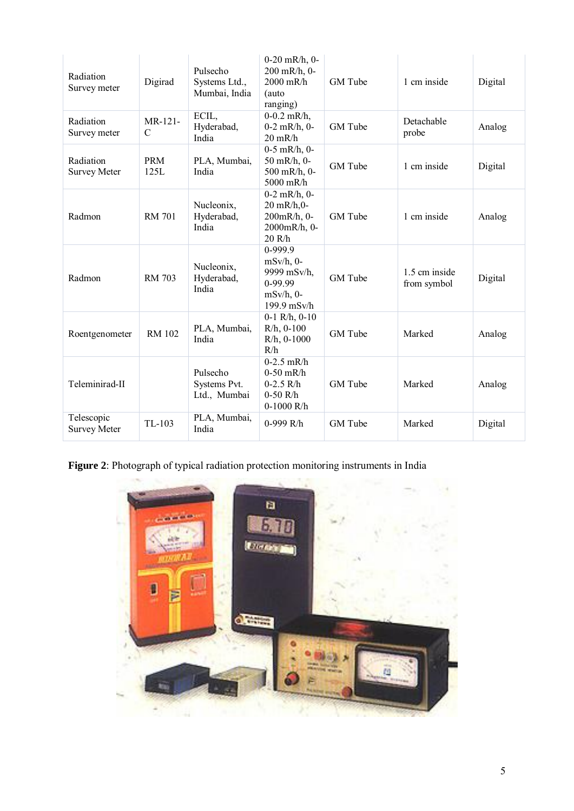| Radiation<br>Survey meter         | Digirad                   | Pulsecho<br>Systems Ltd.,<br>Mumbai, India | $0-20$ mR/h, $0-$<br>200 mR/h, 0-<br>2000 mR/h<br>(auto<br>ranging)              | GM Tube | 1 cm inside                  | Digital |
|-----------------------------------|---------------------------|--------------------------------------------|----------------------------------------------------------------------------------|---------|------------------------------|---------|
| Radiation<br>Survey meter         | MR-121-<br>$\overline{C}$ | ECIL,<br>Hyderabad,<br>India               | $0-0.2$ mR/h,<br>$0-2$ mR/h, $0-$<br>$20 \text{ mR/h}$                           | GM Tube | Detachable<br>probe          | Analog  |
| Radiation<br><b>Survey Meter</b>  | <b>PRM</b><br>125L        | PLA, Mumbai,<br>India                      | $0-5$ mR/h, $0-$<br>50 mR/h, 0-<br>500 mR/h, 0-<br>5000 mR/h                     | GM Tube | 1 cm inside                  | Digital |
| Radmon                            | <b>RM 701</b>             | Nucleonix,<br>Hyderabad,<br>India          | $0-2$ mR/h, $0-$<br>20 mR/h,0-<br>200mR/h, 0-<br>2000mR/h, 0-<br>20 R/h          | GM Tube | 1 cm inside                  | Analog  |
| Radmon                            | <b>RM 703</b>             | Nucleonix,<br>Hyderabad,<br>India          | 0-999.9<br>$mSv/h$ , 0-<br>9999 mSv/h,<br>0-99.99<br>$mSv/h$ , 0-<br>199.9 mSv/h | GM Tube | 1.5 cm inside<br>from symbol | Digital |
| Roentgenometer                    | <b>RM 102</b>             | PLA, Mumbai,<br>India                      | $0-1$ R/h, $0-10$<br>$R/h$ , 0-100<br>$R/h$ , 0-1000<br>R/h                      | GM Tube | Marked                       | Analog  |
| Teleminirad-II                    |                           | Pulsecho<br>Systems Pvt.<br>Ltd., Mumbai   | $0-2.5$ mR/h<br>$0-50$ mR/h<br>$0-2.5$ R/h<br>$0-50$ R/h<br>$0-1000$ R/h         | GM Tube | Marked                       | Analog  |
| Telescopic<br><b>Survey Meter</b> | TL-103                    | PLA, Mumbai,<br>India                      | 0-999 R/h                                                                        | GM Tube | Marked                       | Digital |

**Figure 2**: Photograph of typical radiation protection monitoring instruments in India

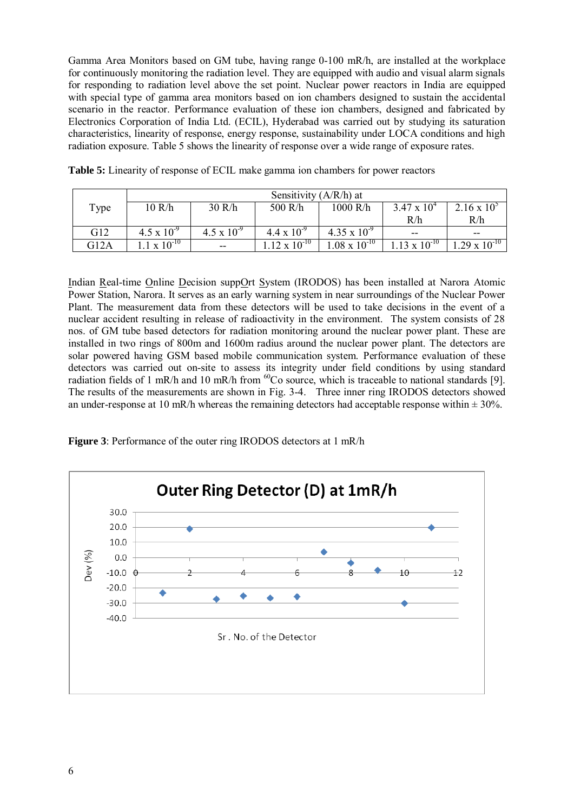Gamma Area Monitors based on GM tube, having range 0-100 mR/h, are installed at the workplace for continuously monitoring the radiation level. They are equipped with audio and visual alarm signals for responding to radiation level above the set point. Nuclear power reactors in India are equipped with special type of gamma area monitors based on ion chambers designed to sustain the accidental scenario in the reactor. Performance evaluation of these ion chambers, designed and fabricated by Electronics Corporation of India Ltd. (ECIL), Hyderabad was carried out by studying its saturation characteristics, linearity of response, energy response, sustainability under LOCA conditions and high radiation exposure. Table 5 shows the linearity of response over a wide range of exposure rates.

|      | Sensitivity $(A/R/h)$ at        |                      |                       |                       |                      |                        |
|------|---------------------------------|----------------------|-----------------------|-----------------------|----------------------|------------------------|
| Type | 10 R/h                          | 30 R/h               | 500 R/h               | 1000 R/h              | $3.47 \times 10^{4}$ | $2.16 \times 10^{5}$   |
|      |                                 |                      |                       |                       | R/h                  | R/h                    |
| G12  | $4.5 \times 10^{-9}$            | $4.5 \times 10^{-9}$ | $4.4 \times 10^{-9}$  | $4.35 \times 10^{-9}$ | $- -$                | --                     |
| G12A | $\bar{x}$ $\overline{10^{-10}}$ | $-$                  | $.12 \times 10^{-10}$ | $.08 \times 10^{-10}$ | $13 \times 10^{-10}$ | $1.29 \times 10^{-10}$ |

**Table 5:** Linearity of response of ECIL make gamma ion chambers for power reactors

Indian Real-time Online Decision suppOrt System (IRODOS) has been installed at Narora Atomic Power Station, Narora. It serves as an early warning system in near surroundings of the Nuclear Power Plant. The measurement data from these detectors will be used to take decisions in the event of a nuclear accident resulting in release of radioactivity in the environment. The system consists of 28 nos. of GM tube based detectors for radiation monitoring around the nuclear power plant. These are installed in two rings of 800m and 1600m radius around the nuclear power plant. The detectors are solar powered having GSM based mobile communication system. Performance evaluation of these detectors was carried out on-site to assess its integrity under field conditions by using standard radiation fields of 1 mR/h and 10 mR/h from <sup>60</sup>Co source, which is traceable to national standards [9]. The results of the measurements are shown in Fig. 3-4. Three inner ring IRODOS detectors showed an under-response at 10 mR/h whereas the remaining detectors had acceptable response within  $\pm$  30%.

**Figure 3**: Performance of the outer ring IRODOS detectors at 1 mR/h

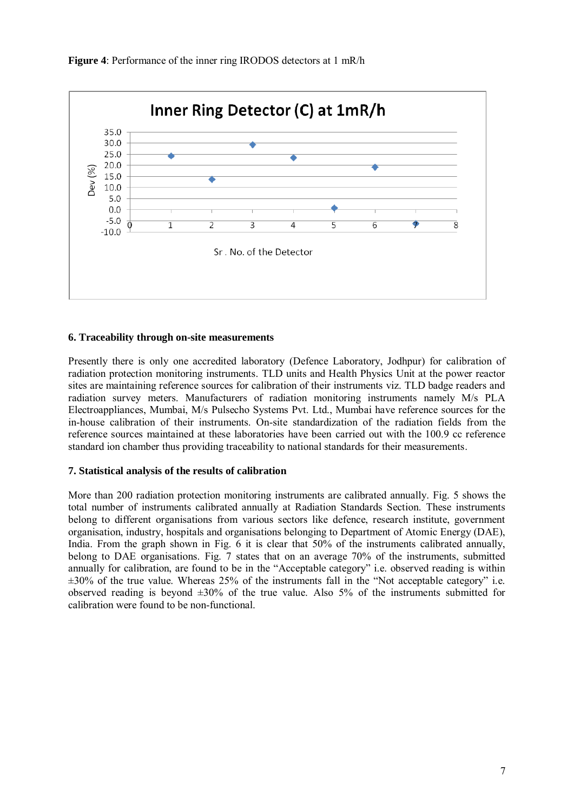

**Figure 4**: Performance of the inner ring IRODOS detectors at 1 mR/h

### **6. Traceability through on-site measurements**

Presently there is only one accredited laboratory (Defence Laboratory, Jodhpur) for calibration of radiation protection monitoring instruments. TLD units and Health Physics Unit at the power reactor sites are maintaining reference sources for calibration of their instruments viz. TLD badge readers and radiation survey meters. Manufacturers of radiation monitoring instruments namely M/s PLA Electroappliances, Mumbai, M/s Pulsecho Systems Pvt. Ltd., Mumbai have reference sources for the in-house calibration of their instruments. On-site standardization of the radiation fields from the reference sources maintained at these laboratories have been carried out with the 100.9 cc reference standard ion chamber thus providing traceability to national standards for their measurements.

### **7. Statistical analysis of the results of calibration**

More than 200 radiation protection monitoring instruments are calibrated annually. Fig. 5 shows the total number of instruments calibrated annually at Radiation Standards Section. These instruments belong to different organisations from various sectors like defence, research institute, government organisation, industry, hospitals and organisations belonging to Department of Atomic Energy (DAE), India. From the graph shown in Fig. 6 it is clear that 50% of the instruments calibrated annually, belong to DAE organisations. Fig. 7 states that on an average 70% of the instruments, submitted annually for calibration, are found to be in the "Acceptable category" i.e. observed reading is within  $\pm 30\%$  of the true value. Whereas 25% of the instruments fall in the "Not acceptable category" i.e. observed reading is beyond  $\pm 30\%$  of the true value. Also 5% of the instruments submitted for calibration were found to be non-functional.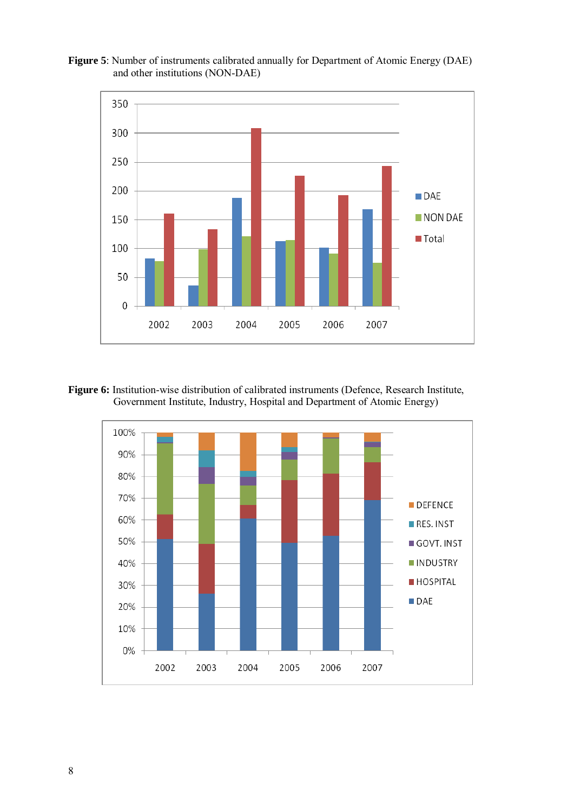



Figure 6: Institution-wise distribution of calibrated instruments (Defence, Research Institute, Government Institute, Industry, Hospital and Department of Atomic Energy)

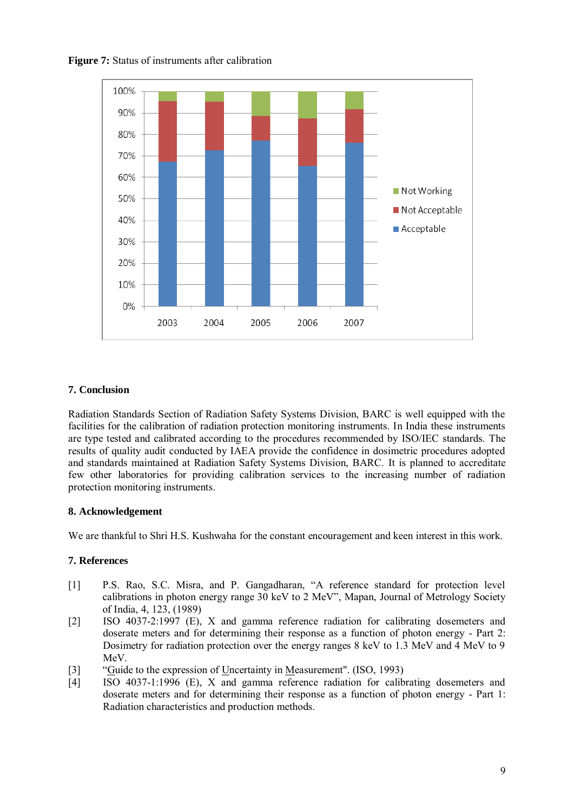



### **7. Conclusion**

Radiation Standards Section of Radiation Safety Systems Division, BARC is well equipped with the facilities for the calibration of radiation protection monitoring instruments. In India these instruments are type tested and calibrated according to the procedures recommended by ISO/IEC standards. The results of quality audit conducted by IAEA provide the confidence in dosimetric procedures adopted and standards maintained at Radiation Safety Systems Division, BARC. It is planned to accreditate few other laboratories for providing calibration services to the increasing number of radiation protection monitoring instruments.

### **8. Acknowledgement**

We are thankful to Shri H.S. Kushwaha for the constant encouragement and keen interest in this work.

### **7. References**

- [1] P.S. Rao, S.C. Misra, and P. Gangadharan, "A reference standard for protection level calibrations in photon energy range 30 keV to 2 MeV", Mapan, Journal of Metrology Society of India, 4, 123, (1989)
- [2] ISO 4037-2:1997 (E), X and gamma reference radiation for calibrating dosemeters and doserate meters and for determining their response as a function of photon energy - Part 2: Dosimetry for radiation protection over the energy ranges 8 keV to 1.3 MeV and 4 MeV to 9 MeV.
- [3] "Guide to the expression of Uncertainty in Measurement". (ISO, 1993)
- [4] ISO 4037-1:1996 (E), X and gamma reference radiation for calibrating dosemeters and doserate meters and for determining their response as a function of photon energy - Part 1: Radiation characteristics and production methods.